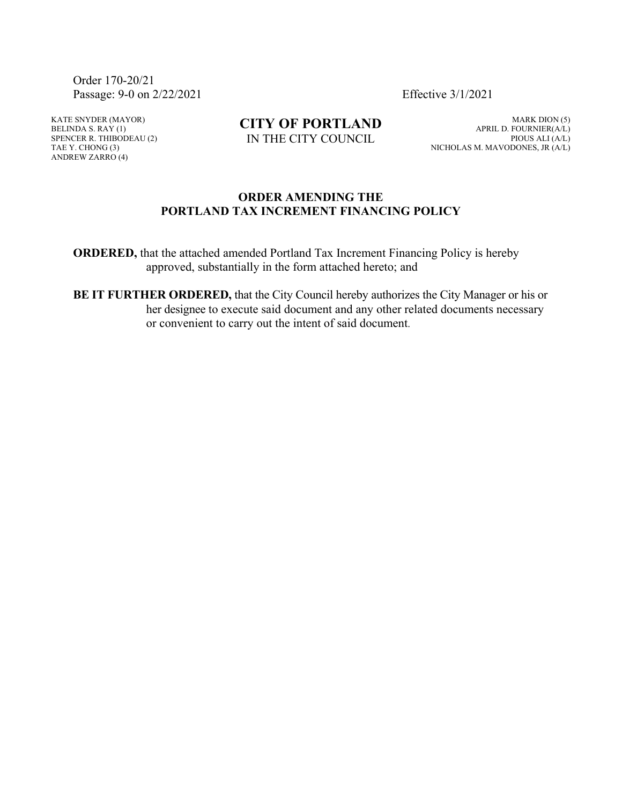Order 170-20/21 Passage: 9-0 on 2/22/2021 Effective 3/1/2021

KATE SNYDER (MAYOR) BELINDA S.  $RAY(1)$ SPENCER R. THIBODEAU (2) TAE Y. CHONG (3) ANDREW ZARRO (4)

**CITY OF PORTLAND** IN THE CITY COUNCIL

MARK DION (5) APRIL D. FOURNIER(A/L) PIOUS ALI (A/L) NICHOLAS M. MAVODONES, JR (A/L)

## **ORDER AMENDING THE PORTLAND TAX INCREMENT FINANCING POLICY**

**ORDERED,** that the attached amended Portland Tax Increment Financing Policy is hereby approved, substantially in the form attached hereto; and

**BE IT FURTHER ORDERED,** that the City Council hereby authorizes the City Manager or his or her designee to execute said document and any other related documents necessary or convenient to carry out the intent of said document.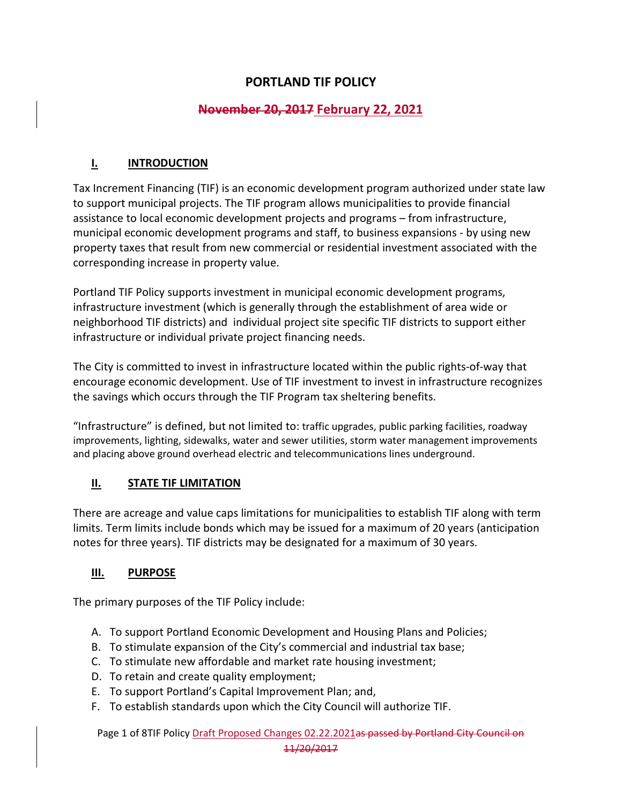# **PORTLAND TIF POLICY**

# **November 20, 2017 February 22, 2021**

# **I. INTRODUCTION**

Tax Increment Financing (TIF) is an economic development program authorized under state law to support municipal projects. The TIF program allows municipalities to provide financial assistance to local economic development projects and programs – from infrastructure, municipal economic development programs and staff, to business expansions - by using new property taxes that result from new commercial or residential investment associated with the corresponding increase in property value.

Portland TIF Policy supports investment in municipal economic development programs, infrastructure investment (which is generally through the establishment of area wide or neighborhood TIF districts) and individual project site specific TIF districts to support either infrastructure or individual private project financing needs.

The City is committed to invest in infrastructure located within the public rights-of-way that encourage economic development. Use of TIF investment to invest in infrastructure recognizes the savings which occurs through the TIF Program tax sheltering benefits.

"Infrastructure" is defined, but not limited to: traffic upgrades, public parking facilities, roadway improvements, lighting, sidewalks, water and sewer utilities, storm water management improvements and placing above ground overhead electric and telecommunications lines underground.

## **II. STATE TIF LIMITATION**

There are acreage and value caps limitations for municipalities to establish TIF along with term limits. Term limits include bonds which may be issued for a maximum of 20 years (anticipation notes for three years). TIF districts may be designated for a maximum of 30 years.

# **III. PURPOSE**

The primary purposes of the TIF Policy include:

- A. To support Portland Economic Development and Housing Plans and Policies;
- B. To stimulate expansion of the City's commercial and industrial tax base;
- C. To stimulate new affordable and market rate housing investment;
- D. To retain and create quality employment;
- E. To support Portland's Capital Improvement Plan; and,
- F. To establish standards upon which the City Council will authorize TIF.

Page 1 of 8TIF Policy Draft Proposed Changes 02.22.2021as passed by Portland City Council on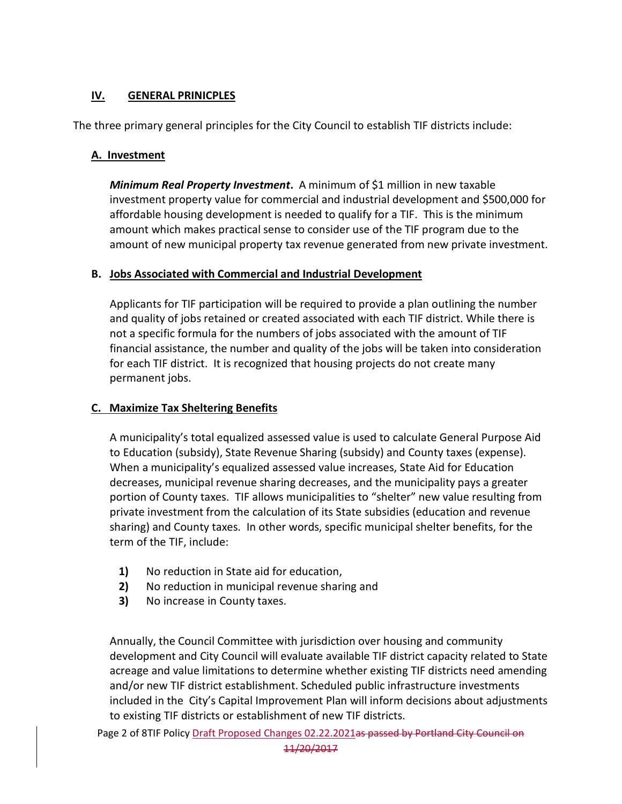# **IV. GENERAL PRINICPLES**

The three primary general principles for the City Council to establish TIF districts include:

## **A. Investment**

*Minimum Real Property Investment***.** A minimum of \$1 million in new taxable investment property value for commercial and industrial development and \$500,000 for affordable housing development is needed to qualify for a TIF. This is the minimum amount which makes practical sense to consider use of the TIF program due to the amount of new municipal property tax revenue generated from new private investment.

## **B. Jobs Associated with Commercial and Industrial Development**

Applicants for TIF participation will be required to provide a plan outlining the number and quality of jobs retained or created associated with each TIF district. While there is not a specific formula for the numbers of jobs associated with the amount of TIF financial assistance, the number and quality of the jobs will be taken into consideration for each TIF district. It is recognized that housing projects do not create many permanent jobs.

## **C. Maximize Tax Sheltering Benefits**

A municipality's total equalized assessed value is used to calculate General Purpose Aid to Education (subsidy), State Revenue Sharing (subsidy) and County taxes (expense). When a municipality's equalized assessed value increases, State Aid for Education decreases, municipal revenue sharing decreases, and the municipality pays a greater portion of County taxes. TIF allows municipalities to "shelter" new value resulting from private investment from the calculation of its State subsidies (education and revenue sharing) and County taxes. In other words, specific municipal shelter benefits, for the term of the TIF, include:

- **1)** No reduction in State aid for education,
- **2)** No reduction in municipal revenue sharing and
- **3)** No increase in County taxes.

Annually, the Council Committee with jurisdiction over housing and community development and City Council will evaluate available TIF district capacity related to State acreage and value limitations to determine whether existing TIF districts need amending and/or new TIF district establishment. Scheduled public infrastructure investments included in the City's Capital Improvement Plan will inform decisions about adjustments to existing TIF districts or establishment of new TIF districts.

Page 2 of 8TIF Policy Draft Proposed Changes 02.22.2021as passed by Portland City Council on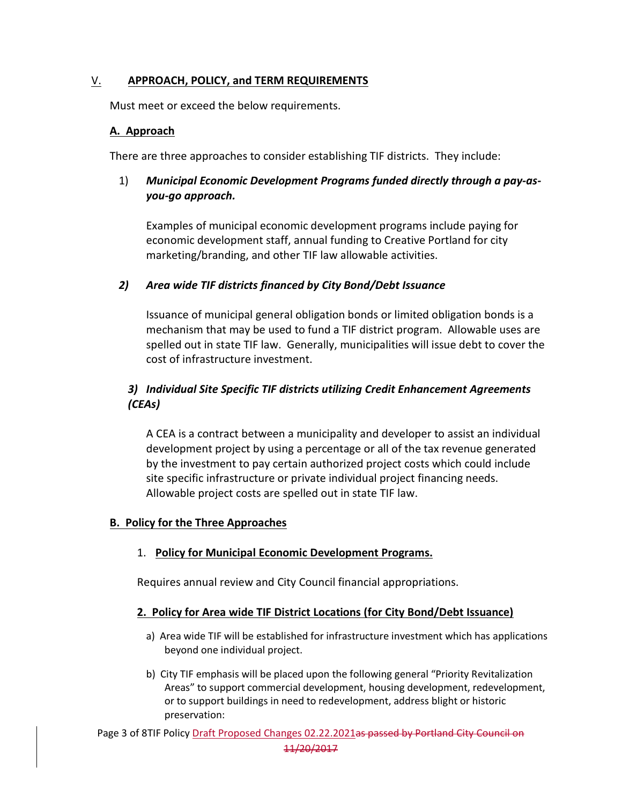## V. **APPROACH, POLICY, and TERM REQUIREMENTS**

Must meet or exceed the below requirements.

### **A. Approach**

There are three approaches to consider establishing TIF districts. They include:

## 1) *Municipal Economic Development Programs funded directly through a pay-asyou-go approach.*

Examples of municipal economic development programs include paying for economic development staff, annual funding to Creative Portland for city marketing/branding, and other TIF law allowable activities.

### *2) Area wide TIF districts financed by City Bond/Debt Issuance*

Issuance of municipal general obligation bonds or limited obligation bonds is a mechanism that may be used to fund a TIF district program. Allowable uses are spelled out in state TIF law. Generally, municipalities will issue debt to cover the cost of infrastructure investment.

# *3) Individual Site Specific TIF districts utilizing Credit Enhancement Agreements (CEAs)*

A CEA is a contract between a municipality and developer to assist an individual development project by using a percentage or all of the tax revenue generated by the investment to pay certain authorized project costs which could include site specific infrastructure or private individual project financing needs. Allowable project costs are spelled out in state TIF law.

#### **B. Policy for the Three Approaches**

## 1. **Policy for Municipal Economic Development Programs.**

Requires annual review and City Council financial appropriations.

#### **2. Policy for Area wide TIF District Locations (for City Bond/Debt Issuance)**

- a) Area wide TIF will be established for infrastructure investment which has applications beyond one individual project.
- b) City TIF emphasis will be placed upon the following general "Priority Revitalization Areas" to support commercial development, housing development, redevelopment, or to support buildings in need to redevelopment, address blight or historic preservation:

Page 3 of 8TIF Policy Draft Proposed Changes 02.22.2021as passed by Portland City Council on 11/20/2017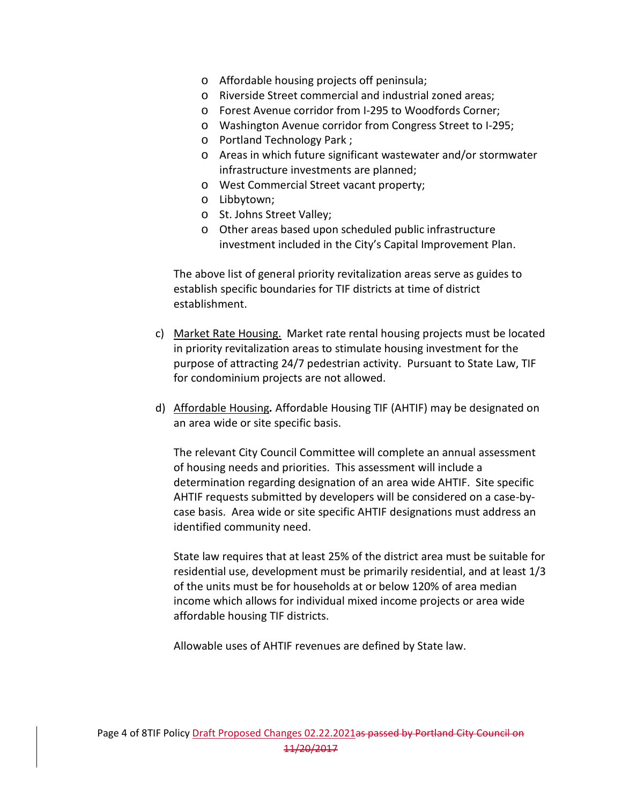- o Affordable housing projects off peninsula;
- o Riverside Street commercial and industrial zoned areas;
- o Forest Avenue corridor from I-295 to Woodfords Corner;
- o Washington Avenue corridor from Congress Street to I-295;
- o Portland Technology Park ;
- o Areas in which future significant wastewater and/or stormwater infrastructure investments are planned;
- o West Commercial Street vacant property;
- o Libbytown;
- o St. Johns Street Valley;
- o Other areas based upon scheduled public infrastructure investment included in the City's Capital Improvement Plan.

The above list of general priority revitalization areas serve as guides to establish specific boundaries for TIF districts at time of district establishment.

- c) Market Rate Housing. Market rate rental housing projects must be located in priority revitalization areas to stimulate housing investment for the purpose of attracting 24/7 pedestrian activity. Pursuant to State Law, TIF for condominium projects are not allowed.
- d) Affordable Housing*.* Affordable Housing TIF (AHTIF) may be designated on an area wide or site specific basis.

The relevant City Council Committee will complete an annual assessment of housing needs and priorities. This assessment will include a determination regarding designation of an area wide AHTIF. Site specific AHTIF requests submitted by developers will be considered on a case-bycase basis. Area wide or site specific AHTIF designations must address an identified community need.

State law requires that at least 25% of the district area must be suitable for residential use, development must be primarily residential, and at least 1/3 of the units must be for households at or below 120% of area median income which allows for individual mixed income projects or area wide affordable housing TIF districts.

Allowable uses of AHTIF revenues are defined by State law.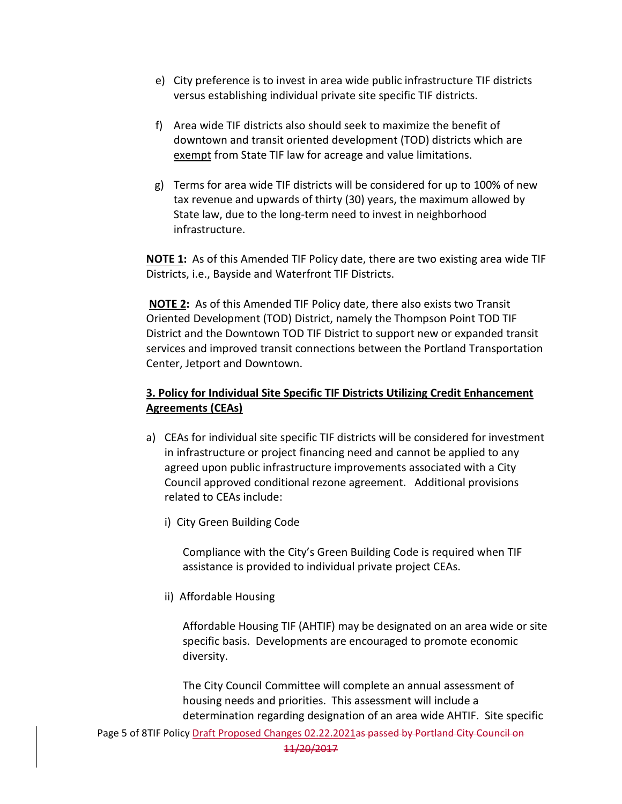- e) City preference is to invest in area wide public infrastructure TIF districts versus establishing individual private site specific TIF districts.
- f) Area wide TIF districts also should seek to maximize the benefit of downtown and transit oriented development (TOD) districts which are exempt from State TIF law for acreage and value limitations.
- g) Terms for area wide TIF districts will be considered for up to 100% of new tax revenue and upwards of thirty (30) years, the maximum allowed by State law, due to the long-term need to invest in neighborhood infrastructure.

**NOTE 1:** As of this Amended TIF Policy date, there are two existing area wide TIF Districts, i.e., Bayside and Waterfront TIF Districts.

**NOTE 2:** As of this Amended TIF Policy date, there also exists two Transit Oriented Development (TOD) District, namely the Thompson Point TOD TIF District and the Downtown TOD TIF District to support new or expanded transit services and improved transit connections between the Portland Transportation Center, Jetport and Downtown.

# **3. Policy for Individual Site Specific TIF Districts Utilizing Credit Enhancement Agreements (CEAs)**

- a) CEAs for individual site specific TIF districts will be considered for investment in infrastructure or project financing need and cannot be applied to any agreed upon public infrastructure improvements associated with a City Council approved conditional rezone agreement. Additional provisions related to CEAs include:
	- i) City Green Building Code

Compliance with the City's Green Building Code is required when TIF assistance is provided to individual private project CEAs.

ii) Affordable Housing

Affordable Housing TIF (AHTIF) may be designated on an area wide or site specific basis. Developments are encouraged to promote economic diversity.

The City Council Committee will complete an annual assessment of housing needs and priorities. This assessment will include a determination regarding designation of an area wide AHTIF. Site specific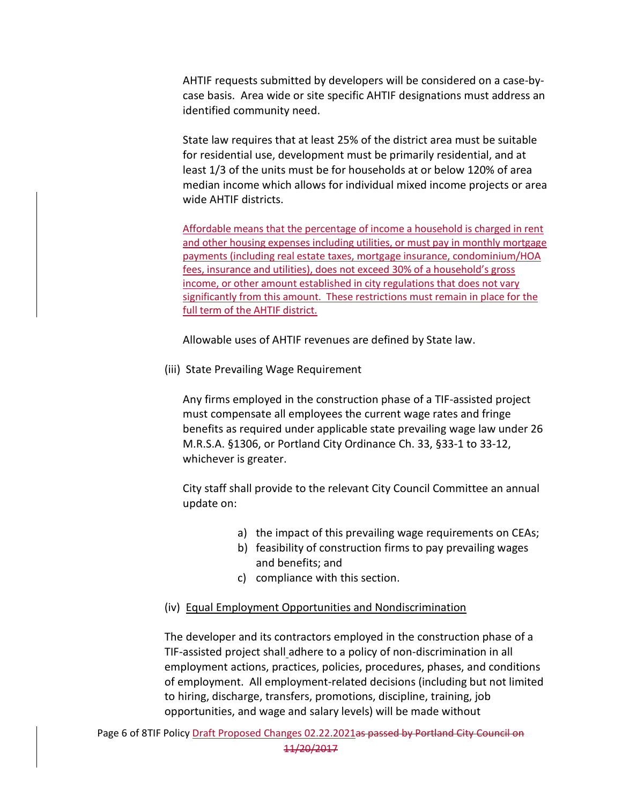AHTIF requests submitted by developers will be considered on a case-bycase basis. Area wide or site specific AHTIF designations must address an identified community need.

State law requires that at least 25% of the district area must be suitable for residential use, development must be primarily residential, and at least 1/3 of the units must be for households at or below 120% of area median income which allows for individual mixed income projects or area wide AHTIF districts.

Affordable means that the percentage of income a household is charged in rent and other housing expenses including utilities, or must pay in monthly mortgage payments (including real estate taxes, mortgage insurance, condominium/HOA fees, insurance and utilities), does not exceed 30% of a household's gross income, or other amount established in city regulations that does not vary significantly from this amount. These restrictions must remain in place for the full term of the AHTIF district.

Allowable uses of AHTIF revenues are defined by State law.

(iii) State Prevailing Wage Requirement

Any firms employed in the construction phase of a TIF-assisted project must compensate all employees the current wage rates and fringe benefits as required under applicable state prevailing wage law under 26 M.R.S.A. §1306, or Portland City Ordinance Ch. 33, §33-1 to 33-12, whichever is greater.

City staff shall provide to the relevant City Council Committee an annual update on:

- a) the impact of this prevailing wage requirements on CEAs;
- b) feasibility of construction firms to pay prevailing wages and benefits; and
- c) compliance with this section.

# (iv) Equal Employment Opportunities and Nondiscrimination

The developer and its contractors employed in the construction phase of a TIF-assisted project shall adhere to a policy of non-discrimination in all employment actions, practices, policies, procedures, phases, and conditions of employment. All employment-related decisions (including but not limited to hiring, discharge, transfers, promotions, discipline, training, job opportunities, and wage and salary levels) will be made without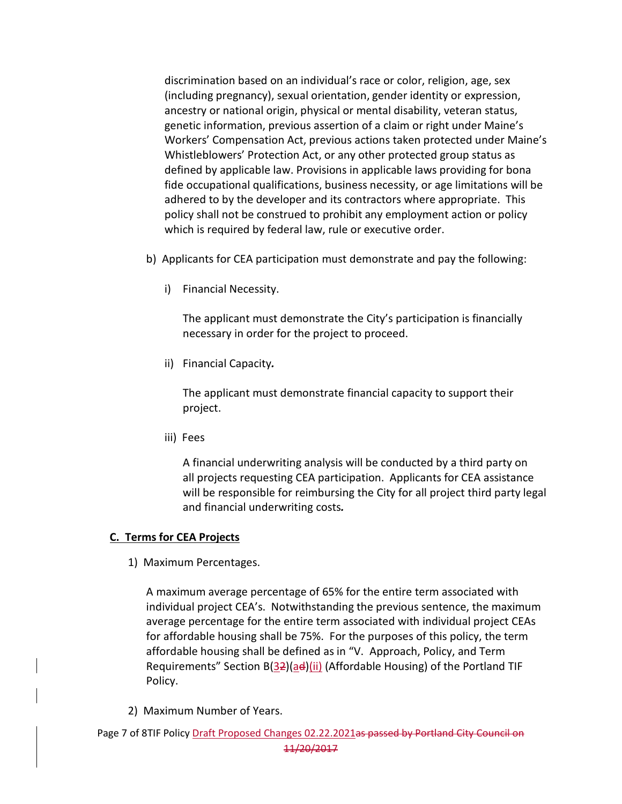discrimination based on an individual's race or color, religion, age, sex (including pregnancy), sexual orientation, gender identity or expression, ancestry or national origin, physical or mental disability, veteran status, genetic information, previous assertion of a claim or right under Maine's Workers' Compensation Act, previous actions taken protected under Maine's Whistleblowers' Protection Act, or any other protected group status as defined by applicable law. Provisions in applicable laws providing for bona fide occupational qualifications, business necessity, or age limitations will be adhered to by the developer and its contractors where appropriate. This policy shall not be construed to prohibit any employment action or policy which is required by federal law, rule or executive order.

- b) Applicants for CEA participation must demonstrate and pay the following:
	- i) Financial Necessity.

The applicant must demonstrate the City's participation is financially necessary in order for the project to proceed.

ii) Financial Capacity*.* 

The applicant must demonstrate financial capacity to support their project.

iii) Fees

A financial underwriting analysis will be conducted by a third party on all projects requesting CEA participation. Applicants for CEA assistance will be responsible for reimbursing the City for all project third party legal and financial underwriting costs*.*

## **C. Terms for CEA Projects**

1) Maximum Percentages.

A maximum average percentage of 65% for the entire term associated with individual project CEA's. Notwithstanding the previous sentence, the maximum average percentage for the entire term associated with individual project CEAs for affordable housing shall be 75%. For the purposes of this policy, the term affordable housing shall be defined as in "V. Approach, Policy, and Term Requirements" Section  $B(32)(ad)(ii)$  (Affordable Housing) of the Portland TIF Policy.

2) Maximum Number of Years.

Page 7 of 8TIF Policy Draft Proposed Changes 02.22.2021as passed by Portland City Council on